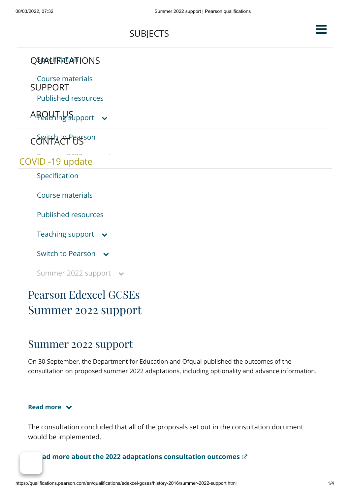

- [Switch to Pearson](javascript:void(0);)  $\vee$
- [Summer 2022 support](javascript:void(0);)  $\rightarrow$

# Pearson Edexcel GCSEs Summer 2022 support

## Summer 2022 support

On 30 September, the Department for Education and Ofqual published the outcomes of the consultation on proposed summer 2022 adaptations, including optionality and advance information.

#### **Read more**

The consultation concluded that all of the proposals set out in the consultation document would be implemented.

### ad more about the 2022 adaptations consultation outcomes  $\mathbb{C}^*$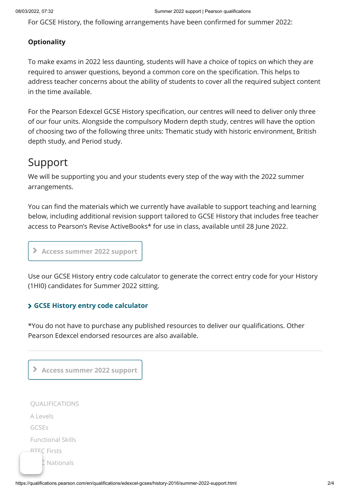For GCSE History, the following arrangements have been confirmed for summer 2022:

### **Optionality**

To make exams in 2022 less daunting, students will have a choice of topics on which they are required to answer questions, beyond a common core on the specification. This helps to address teacher concerns about the ability of students to cover all the required subject content in the time available.

For the Pearson Edexcel GCSE History specification, our centres will need to deliver only three of our four units. Alongside the compulsory Modern depth study, centres will have the option of choosing two of the following three units: Thematic study with historic environment, British depth study, and Period study.

# Support

We will be supporting you and your students every step of the way with the 2022 summer arrangements.

You can find the materials which we currently have available to support teaching and learning below, including additional revision support tailored to GCSE History that includes free teacher access to Pearson's Revise ActiveBooks\* for use in class, available until 28 June 2022.

**Access summer 2022 support**

Use our GCSE History entry code calculator to generate the correct entry code for your History (1HI0) candidates for Summer 2022 sitting.

### **[GCSE History entry code calculator](https://qualifications.pearson.com/en/forms/gcse-history-entry-calculator.html)**

\*You do not have to purchase any published resources to deliver our qualifications. Other Pearson Edexcel endorsed resources are also available.

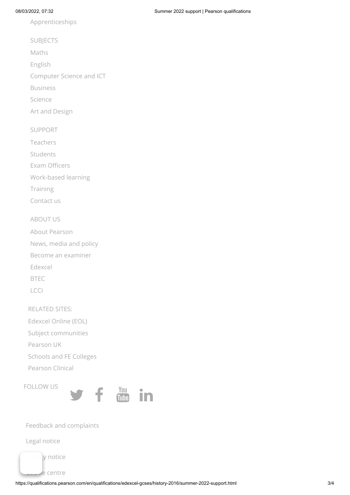[Apprenticeships](https://qualifications.pearson.com/en/qualifications/apprenticeships.html)

[SUBJECTS](https://qualifications.pearson.com/en/subjects.html)

[Maths](https://qualifications.pearson.com/en/subjects/mathematics.html)

[English](https://qualifications.pearson.com/en/subjects/english.html)

[Computer Science and ICT](https://qualifications.pearson.com/en/subjects/ict.html)

[Business](https://qualifications.pearson.com/en/subjects/business.html)

[Science](https://qualifications.pearson.com/en/subjects/science.html)

[Art and Design](https://qualifications.pearson.com/en/subjects/art-and-design.html)

[SUPPORT](https://qualifications.pearson.com/en/support.html)

[Teachers](https://qualifications.pearson.com/en/support/support-for-you/teachers.html)

[Students](https://qualifications.pearson.com/en/support/support-for-you/students.html)

[Exam Officers](https://qualifications.pearson.com/en/support/support-for-you/exam-officers-administrators.html)

[Work-based learning](https://qualifications.pearson.com/en/support/support-for-you/work-based-learning.html)

[Training](https://qualifications.pearson.com/en/support/training-from-pearson-uk.html)

[Contact us](https://qualifications.pearson.com/en/contact-us.html)

#### [ABOUT US](https://qualifications.pearson.com/en/about-us.html)

[About Pearson](https://qualifications.pearson.com/en/about-us/about-pearson.html) [News, media and policy](https://qualifications.pearson.com/en/about-us/news-and-media.html) [Become an examiner](https://qualifications.pearson.com/en/support/support-for-you/assessment-associates/vacancies/working-with-us.html) [Edexcel](https://qualifications.pearson.com/en/about-us/qualification-brands/edexcel.html) [BTEC](https://qualifications.pearson.com/en/about-us/qualification-brands/btec.html) [LCCI](https://qualifications.pearson.com/en/about-us/qualification-brands/lcci.html)

RELATED SITES:

[Edexcel Online \(EOL\)](https://www.edexcelonline.com/)

[Subject communities](https://support.pearson.com/uk/s/groups)

[Pearson UK](http://uk.pearson.com/)

[Schools and FE Colleges](https://www.pearsonschoolsandfecolleges.co.uk/)

[Pearson Clinical](https://www.pearsonclinical.co.uk/)

FOLLOW US



#### [Feedback and complaints](https://qualifications.pearson.com/en/contact-us/feedback-and-complaints.html)

[Legal notice](https://www.pearson.com/uk/legal-notice.html)

ty notice

de centre